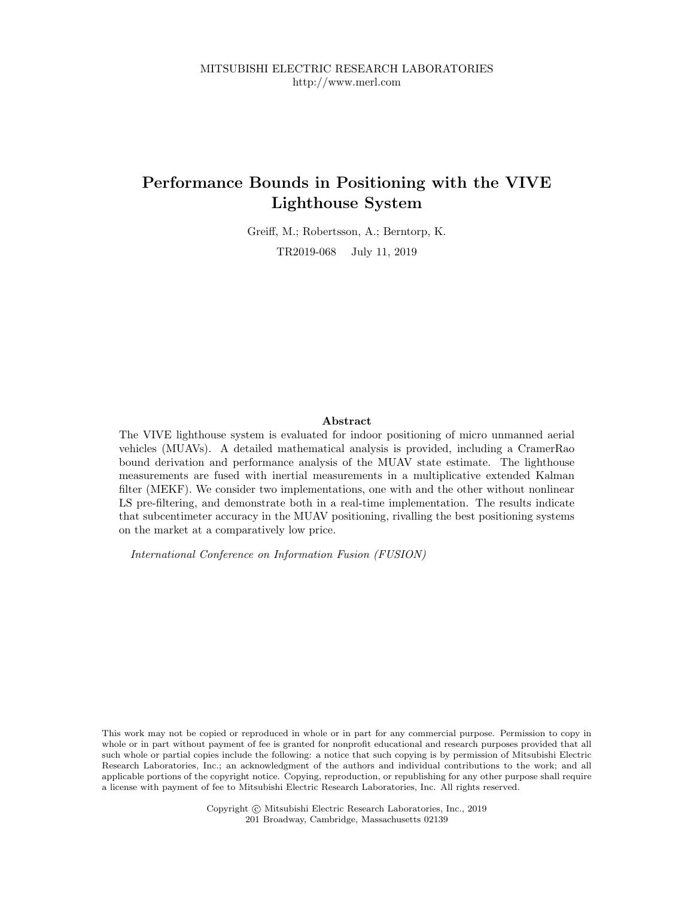# **Performance Bounds in Positioning with the VIVE Lighthouse System**

Greiff, M.; Robertsson, A.; Berntorp, K.

TR2019-068 July 11, 2019

#### **Abstract**

The VIVE lighthouse system is evaluated for indoor positioning of micro unmanned aerial vehicles (MUAVs). A detailed mathematical analysis is provided, including a CramerRao bound derivation and performance analysis of the MUAV state estimate. The lighthouse measurements are fused with inertial measurements in a multiplicative extended Kalman filter (MEKF). We consider two implementations, one with and the other without nonlinear LS pre-filtering, and demonstrate both in a real-time implementation. The results indicate that subcentimeter accuracy in the MUAV positioning, rivalling the best positioning systems on the market at a comparatively low price.

*International Conference on Information Fusion (FUSION)*

This work may not be copied or reproduced in whole or in part for any commercial purpose. Permission to copy in whole or in part without payment of fee is granted for nonprofit educational and research purposes provided that all such whole or partial copies include the following: a notice that such copying is by permission of Mitsubishi Electric Research Laboratories, Inc.; an acknowledgment of the authors and individual contributions to the work; and all applicable portions of the copyright notice. Copying, reproduction, or republishing for any other purpose shall require a license with payment of fee to Mitsubishi Electric Research Laboratories, Inc. All rights reserved.

> Copyright © Mitsubishi Electric Research Laboratories, Inc., 2019 201 Broadway, Cambridge, Massachusetts 02139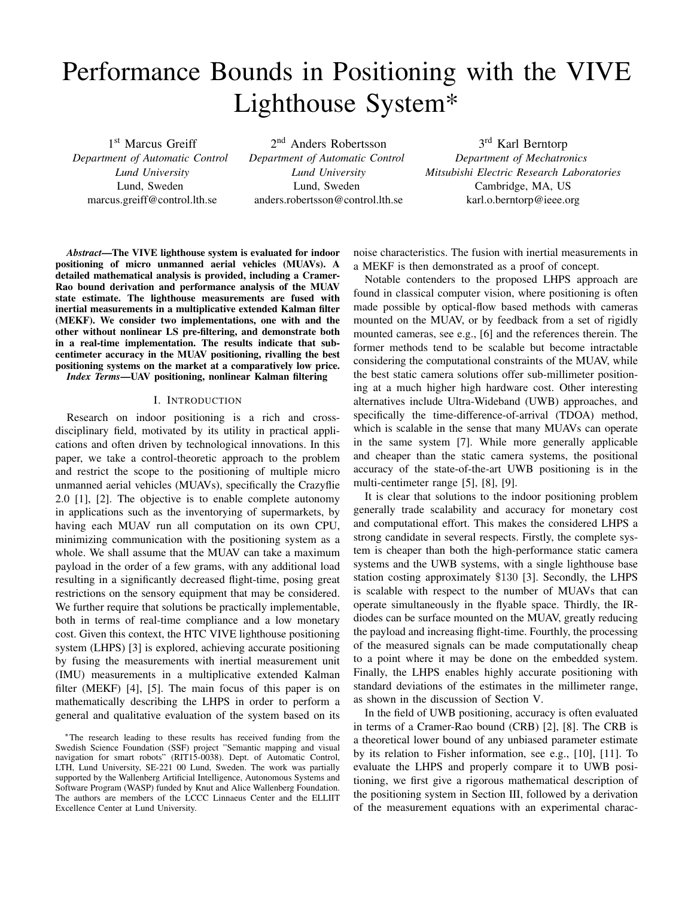# Performance Bounds in Positioning with the VIVE Lighthouse System\*

1<sup>st</sup> Marcus Greiff *Department of Automatic Control Lund University* Lund, Sweden marcus.greiff@control.lth.se

2<sup>nd</sup> Anders Robertsson *Department of Automatic Control Lund University* Lund, Sweden anders.robertsson@control.lth.se

3<sup>rd</sup> Karl Berntorp *Department of Mechatronics Mitsubishi Electric Research Laboratories* Cambridge, MA, US karl.o.berntorp@ieee.org

*Abstract*—The VIVE lighthouse system is evaluated for indoor positioning of micro unmanned aerial vehicles (MUAVs). A detailed mathematical analysis is provided, including a Cramer-Rao bound derivation and performance analysis of the MUAV state estimate. The lighthouse measurements are fused with inertial measurements in a multiplicative extended Kalman filter (MEKF). We consider two implementations, one with and the other without nonlinear LS pre-filtering, and demonstrate both in a real-time implementation. The results indicate that subcentimeter accuracy in the MUAV positioning, rivalling the best positioning systems on the market at a comparatively low price.

*Index Terms*—UAV positioning, nonlinear Kalman filtering

# I. INTRODUCTION

Research on indoor positioning is a rich and crossdisciplinary field, motivated by its utility in practical applications and often driven by technological innovations. In this paper, we take a control-theoretic approach to the problem and restrict the scope to the positioning of multiple micro unmanned aerial vehicles (MUAVs), specifically the Crazyflie 2.0 [1], [2]. The objective is to enable complete autonomy in applications such as the inventorying of supermarkets, by having each MUAV run all computation on its own CPU, minimizing communication with the positioning system as a whole. We shall assume that the MUAV can take a maximum payload in the order of a few grams, with any additional load resulting in a significantly decreased flight-time, posing great restrictions on the sensory equipment that may be considered. We further require that solutions be practically implementable, both in terms of real-time compliance and a low monetary cost. Given this context, the HTC VIVE lighthouse positioning system (LHPS) [3] is explored, achieving accurate positioning by fusing the measurements with inertial measurement unit (IMU) measurements in a multiplicative extended Kalman filter (MEKF) [4], [5]. The main focus of this paper is on mathematically describing the LHPS in order to perform a general and qualitative evaluation of the system based on its

<sup>∗</sup>The research leading to these results has received funding from the Swedish Science Foundation (SSF) project "Semantic mapping and visual navigation for smart robots" (RIT15-0038). Dept. of Automatic Control, LTH, Lund University, SE-221 00 Lund, Sweden. The work was partially supported by the Wallenberg Artificial Intelligence, Autonomous Systems and Software Program (WASP) funded by Knut and Alice Wallenberg Foundation. The authors are members of the LCCC Linnaeus Center and the ELLIIT Excellence Center at Lund University.

noise characteristics. The fusion with inertial measurements in a MEKF is then demonstrated as a proof of concept.

Notable contenders to the proposed LHPS approach are found in classical computer vision, where positioning is often made possible by optical-flow based methods with cameras mounted on the MUAV, or by feedback from a set of rigidly mounted cameras, see e.g., [6] and the references therein. The former methods tend to be scalable but become intractable considering the computational constraints of the MUAV, while the best static camera solutions offer sub-millimeter positioning at a much higher high hardware cost. Other interesting alternatives include Ultra-Wideband (UWB) approaches, and specifically the time-difference-of-arrival (TDOA) method, which is scalable in the sense that many MUAVs can operate in the same system [7]. While more generally applicable and cheaper than the static camera systems, the positional accuracy of the state-of-the-art UWB positioning is in the multi-centimeter range [5], [8], [9].

It is clear that solutions to the indoor positioning problem generally trade scalability and accuracy for monetary cost and computational effort. This makes the considered LHPS a strong candidate in several respects. Firstly, the complete system is cheaper than both the high-performance static camera systems and the UWB systems, with a single lighthouse base station costing approximately \$130 [3]. Secondly, the LHPS is scalable with respect to the number of MUAVs that can operate simultaneously in the flyable space. Thirdly, the IRdiodes can be surface mounted on the MUAV, greatly reducing the payload and increasing flight-time. Fourthly, the processing of the measured signals can be made computationally cheap to a point where it may be done on the embedded system. Finally, the LHPS enables highly accurate positioning with standard deviations of the estimates in the millimeter range, as shown in the discussion of Section V.

In the field of UWB positioning, accuracy is often evaluated in terms of a Cramer-Rao bound (CRB) [2], [8]. The CRB is a theoretical lower bound of any unbiased parameter estimate by its relation to Fisher information, see e.g., [10], [11]. To evaluate the LHPS and properly compare it to UWB positioning, we first give a rigorous mathematical description of the positioning system in Section III, followed by a derivation of the measurement equations with an experimental charac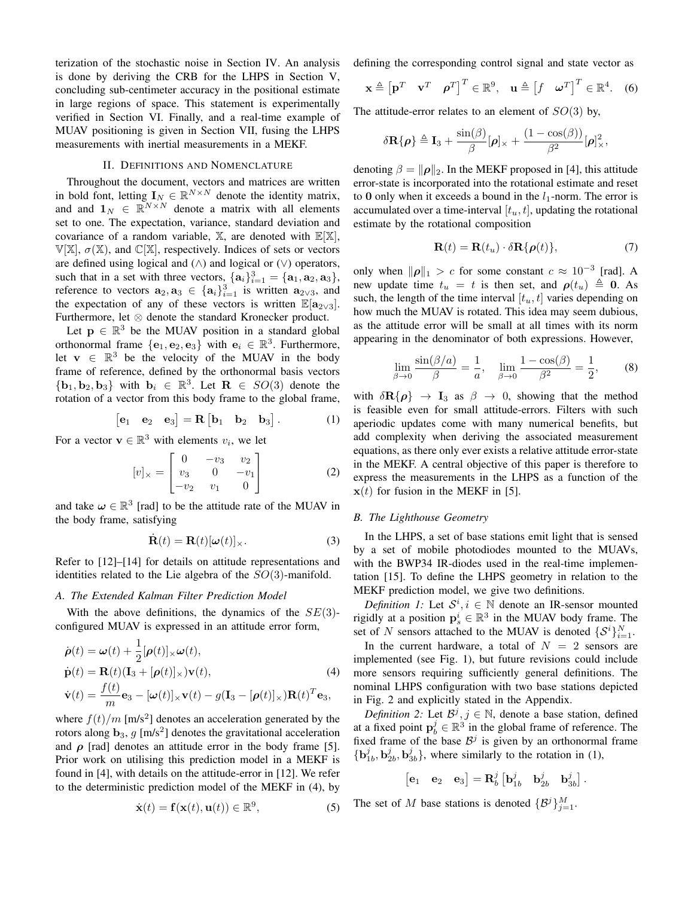terization of the stochastic noise in Section IV. An analysis is done by deriving the CRB for the LHPS in Section V, concluding sub-centimeter accuracy in the positional estimate in large regions of space. This statement is experimentally verified in Section VI. Finally, and a real-time example of MUAV positioning is given in Section VII, fusing the LHPS measurements with inertial measurements in a MEKF.

#### II. DEFINITIONS AND NOMENCLATURE

Throughout the document, vectors and matrices are written in bold font, letting  $I_N \in \mathbb{R}^{N \times N}$  denote the identity matrix, and and  $\mathbf{1}_N \in \mathbb{R}^{N \times N}$  denote a matrix with all elements set to one. The expectation, variance, standard deviation and covariance of a random variable,  $X$ , are denoted with  $E[X]$ ,  $V[X], \sigma(X)$ , and  $C[X]$ , respectively. Indices of sets or vectors are defined using logical and  $(∧)$  and logical or  $(∨)$  operators, such that in a set with three vectors,  $\{a_i\}_{i=1}^3 = \{a_1, a_2, a_3\}$ , reference to vectors  $\mathbf{a}_2, \mathbf{a}_3 \in {\{\mathbf{a}_i\}}_{i=1}^3$  is written  $\mathbf{a}_{2\vee 3}$ , and the expectation of any of these vectors is written  $\mathbb{E}[\mathbf{a}_{2\vee 3}]$ . Furthermore, let ⊗ denote the standard Kronecker product.

Let  $p \in \mathbb{R}^3$  be the MUAV position in a standard global orthonormal frame  $\{e_1, e_2, e_3\}$  with  $e_i \in \mathbb{R}^3$ . Furthermore, let  $\mathbf{v} \in \mathbb{R}^3$  be the velocity of the MUAV in the body frame of reference, defined by the orthonormal basis vectors  ${ \b_1, \b_2, \b_3 \}$  with  $\mathbf{b}_i \in \mathbb{R}^3$ . Let  $\mathbf{R} \in SO(3)$  denote the rotation of a vector from this body frame to the global frame,

$$
\begin{bmatrix} \mathbf{e}_1 & \mathbf{e}_2 & \mathbf{e}_3 \end{bmatrix} = \mathbf{R} \begin{bmatrix} \mathbf{b}_1 & \mathbf{b}_2 & \mathbf{b}_3 \end{bmatrix} . \tag{1}
$$

For a vector  $\mathbf{v} \in \mathbb{R}^3$  with elements  $v_i$ , we let

$$
[v]_{\times} = \begin{bmatrix} 0 & -v_3 & v_2 \\ v_3 & 0 & -v_1 \\ -v_2 & v_1 & 0 \end{bmatrix}
$$
 (2)

and take  $\omega \in \mathbb{R}^3$  [rad] to be the attitude rate of the MUAV in the body frame, satisfying

$$
\dot{\mathbf{R}}(t) = \mathbf{R}(t)[\boldsymbol{\omega}(t)]_{\times}.
$$
 (3)

Refer to [12]–[14] for details on attitude representations and identities related to the Lie algebra of the  $SO(3)$ -manifold.

#### *A. The Extended Kalman Filter Prediction Model*

With the above definitions, the dynamics of the  $SE(3)$ configured MUAV is expressed in an attitude error form,

$$
\dot{\rho}(t) = \omega(t) + \frac{1}{2} [\rho(t)]_{\times} \omega(t),
$$
  
\n
$$
\dot{\mathbf{p}}(t) = \mathbf{R}(t) (\mathbf{I}_3 + [\rho(t)]_{\times}) \mathbf{v}(t),
$$
  
\n
$$
\dot{\mathbf{v}}(t) = \frac{f(t)}{m} \mathbf{e}_3 - [\omega(t)]_{\times} \mathbf{v}(t) - g(\mathbf{I}_3 - [\rho(t)]_{\times}) \mathbf{R}(t)^T \mathbf{e}_3,
$$
\n(4)

where  $f(t)/m$  [m/s<sup>2</sup>] denotes an acceleration generated by the rotors along  $\mathbf{b}_3$ ,  $g \,[\text{m/s}^2]$  denotes the gravitational acceleration and  $\rho$  [rad] denotes an attitude error in the body frame [5]. Prior work on utilising this prediction model in a MEKF is found in [4], with details on the attitude-error in [12]. We refer to the deterministic prediction model of the MEKF in (4), by

$$
\dot{\mathbf{x}}(t) = \mathbf{f}(\mathbf{x}(t), \mathbf{u}(t)) \in \mathbb{R}^9, \tag{5}
$$

defining the corresponding control signal and state vector as

$$
\mathbf{x} \triangleq [\mathbf{p}^T \quad \mathbf{v}^T \quad \boldsymbol{\rho}^T]^T \in \mathbb{R}^9, \quad \mathbf{u} \triangleq [f \quad \boldsymbol{\omega}^T]^T \in \mathbb{R}^4. \quad (6)
$$

The attitude-error relates to an element of  $SO(3)$  by,

$$
\delta \mathbf{R} \{\boldsymbol{\rho}\} \triangleq \mathbf{I}_3 + \frac{\sin(\beta)}{\beta} [\boldsymbol{\rho}]_\times + \frac{(1 - \cos(\beta))}{\beta^2} [\boldsymbol{\rho}]_\times^2,
$$

denoting  $\beta = ||\boldsymbol{\rho}||_2$ . In the MEKF proposed in [4], this attitude error-state is incorporated into the rotational estimate and reset to 0 only when it exceeds a bound in the  $l_1$ -norm. The error is accumulated over a time-interval  $[t<sub>u</sub>, t]$ , updating the rotational estimate by the rotational composition

$$
\mathbf{R}(t) = \mathbf{R}(t_u) \cdot \delta \mathbf{R}\{\boldsymbol{\rho}(t)\},\tag{7}
$$

only when  $\|\boldsymbol{\rho}\|_1 > c$  for some constant  $c \approx 10^{-3}$  [rad]. A new update time  $t_u = t$  is then set, and  $\rho(t_u) \triangleq 0$ . As such, the length of the time interval  $[t_u, t]$  varies depending on how much the MUAV is rotated. This idea may seem dubious, as the attitude error will be small at all times with its norm appearing in the denominator of both expressions. However,

$$
\lim_{\beta \to 0} \frac{\sin(\beta/a)}{\beta} = \frac{1}{a}, \quad \lim_{\beta \to 0} \frac{1 - \cos(\beta)}{\beta^2} = \frac{1}{2}, \quad (8)
$$

with  $\delta \mathbf{R} \{\boldsymbol{\rho}\} \rightarrow \mathbf{I}_3$  as  $\beta \rightarrow 0$ , showing that the method is feasible even for small attitude-errors. Filters with such aperiodic updates come with many numerical benefits, but add complexity when deriving the associated measurement equations, as there only ever exists a relative attitude error-state in the MEKF. A central objective of this paper is therefore to express the measurements in the LHPS as a function of the  $x(t)$  for fusion in the MEKF in [5].

# *B. The Lighthouse Geometry*

In the LHPS, a set of base stations emit light that is sensed by a set of mobile photodiodes mounted to the MUAVs, with the BWP34 IR-diodes used in the real-time implementation [15]. To define the LHPS geometry in relation to the MEKF prediction model, we give two definitions.

*Definition 1:* Let  $S^i$ ,  $i \in \mathbb{N}$  denote an IR-sensor mounted rigidly at a position  $p_s^i \in \mathbb{R}^3$  in the MUAV body frame. The set of N sensors attached to the MUAV is denoted  $\{S^i\}_{i=1}^N$ .

In the current hardware, a total of  $N = 2$  sensors are implemented (see Fig. 1), but future revisions could include more sensors requiring sufficiently general definitions. The nominal LHPS configuration with two base stations depicted in Fig. 2 and explicitly stated in the Appendix.

*Definition 2:* Let  $\mathcal{B}^j, j \in \mathbb{N}$ , denote a base station, defined at a fixed point  $\mathbf{p}_b^j \in \mathbb{R}^3$  in the global frame of reference. The fixed frame of the base  $B^j$  is given by an orthonormal frame  ${\bf b}_{1b}^j, {\bf b}_{2b}^j, {\bf b}_{3b}^j$ , where similarly to the rotation in (1),

 $\begin{bmatrix} \mathbf{e}_1 & \mathbf{e}_2 & \mathbf{e}_3 \end{bmatrix} = \mathbf{R}_b^j \begin{bmatrix} \mathbf{b}_{1b}^j & \mathbf{b}_{2b}^j & \mathbf{b}_{3b}^j \end{bmatrix}.$ 

The set of M base stations is denoted  $\{\mathcal{B}^j\}_{j=1}^M$ .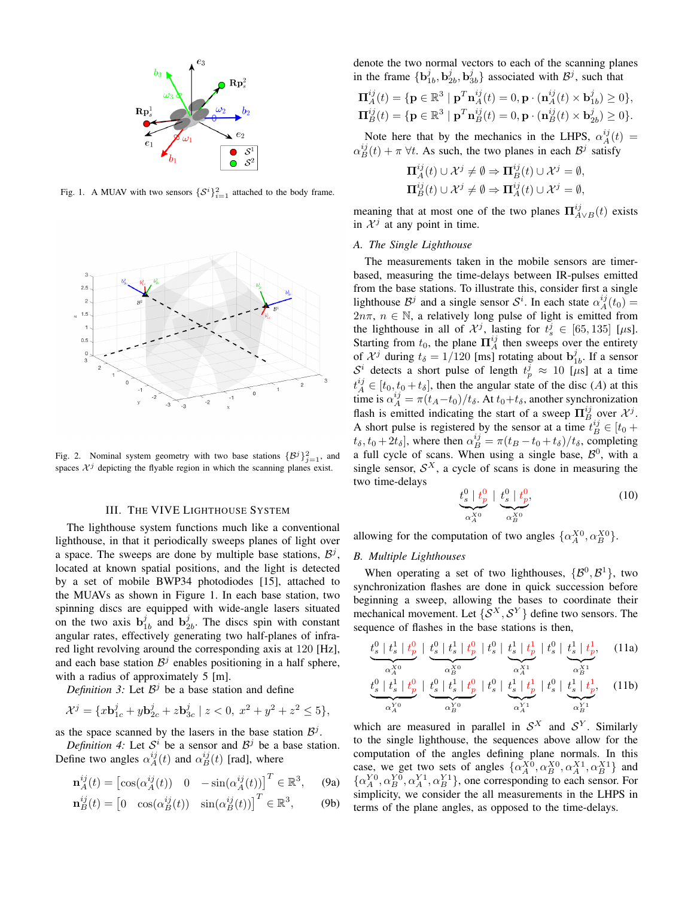

Fig. 1. A MUAV with two sensors  $\{S^i\}_{i=1}^2$  attached to the body frame.



Fig. 2. Nominal system geometry with two base stations  $\{\mathcal{B}^j\}_{j=1}^2$ , and spaces  $\mathcal{X}^j$  depicting the flyable region in which the scanning planes exist.

#### III. THE VIVE LIGHTHOUSE SYSTEM

The lighthouse system functions much like a conventional lighthouse, in that it periodically sweeps planes of light over a space. The sweeps are done by multiple base stations,  $B^j$ , located at known spatial positions, and the light is detected by a set of mobile BWP34 photodiodes [15], attached to the MUAVs as shown in Figure 1. In each base station, two spinning discs are equipped with wide-angle lasers situated on the two axis  $\mathbf{b}_{1b}^j$  and  $\mathbf{b}_{2b}^j$ . The discs spin with constant angular rates, effectively generating two half-planes of infrared light revolving around the corresponding axis at 120 [Hz], and each base station  $\mathcal{B}^j$  enables positioning in a half sphere, with a radius of approximately 5 [m].

*Definition 3:* Let  $B^j$  be a base station and define

$$
\mathcal{X}^j = \{ x \mathbf{b}_{1c}^j + y \mathbf{b}_{2c}^j + z \mathbf{b}_{3c}^j \mid z < 0, \ x^2 + y^2 + z^2 \le 5 \},
$$

as the space scanned by the lasers in the base station  $\mathcal{B}^j$ .

*Definition 4:* Let  $S^i$  be a sensor and  $B^j$  be a base station. Define two angles  $\alpha_A^{ij}(t)$  and  $\alpha_B^{ij}(t)$  [rad], where

$$
\mathbf{n}_A^{ij}(t) = \begin{bmatrix} \cos(\alpha_A^{ij}(t)) & 0 & -\sin(\alpha_A^{ij}(t)) \end{bmatrix}^T \in \mathbb{R}^3, \qquad \text{(9a)}
$$

$$
\mathbf{n}_{B}^{ij}(t) = \begin{bmatrix} 0 & \cos(\alpha_{B}^{ij}(t)) & \sin(\alpha_{B}^{ij}(t)) \end{bmatrix}^{T} \in \mathbb{R}^{3}, \quad (9b)
$$

denote the two normal vectors to each of the scanning planes in the frame  $\{b_{1b}^j, b_{2b}^j, b_{3b}^j\}$  associated with  $\mathcal{B}^j$ , such that

$$
\Pi_A^{ij}(t) = \{ \mathbf{p} \in \mathbb{R}^3 \mid \mathbf{p}^T \mathbf{n}_A^{ij}(t) = 0, \mathbf{p} \cdot (\mathbf{n}_A^{ij}(t) \times \mathbf{b}_{1b}^j) \ge 0 \},
$$
  
\n
$$
\Pi_B^{ij}(t) = \{ \mathbf{p} \in \mathbb{R}^3 \mid \mathbf{p}^T \mathbf{n}_B^{ij}(t) = 0, \mathbf{p} \cdot (\mathbf{n}_B^{ij}(t) \times \mathbf{b}_{2b}^j) \ge 0 \}.
$$

Note here that by the mechanics in the LHPS,  $\alpha_A^{ij}(t)$  =  $\alpha_B^{ij}(t) + \pi \,\forall t$ . As such, the two planes in each  $\mathcal{B}^j$  satisfy

$$
\Pi_A^{ij}(t) \cup \mathcal{X}^j \neq \emptyset \Rightarrow \Pi_B^{ij}(t) \cup \mathcal{X}^j = \emptyset,
$$
  

$$
\Pi_B^{ij}(t) \cup \mathcal{X}^j \neq \emptyset \Rightarrow \Pi_A^{ij}(t) \cup \mathcal{X}^j = \emptyset,
$$

meaning that at most one of the two planes  $\Pi_{A\vee B}^{ij}(t)$  exists in  $\mathcal{X}^j$  at any point in time.

# *A. The Single Lighthouse*

The measurements taken in the mobile sensors are timerbased, measuring the time-delays between IR-pulses emitted from the base stations. To illustrate this, consider first a single lighthouse  $\mathcal{B}^j$  and a single sensor  $\mathcal{S}^i$ . In each state  $\alpha_A^{ij}(t_0) =$  $2n\pi$ ,  $n \in \mathbb{N}$ , a relatively long pulse of light is emitted from the lighthouse in all of  $\mathcal{X}^j$ , lasting for  $t_s^j \in [65, 135]$  [ $\mu$ s]. Starting from  $t_0$ , the plane  $\prod_{A}^{ij}$  then sweeps over the entirety of  $\mathcal{X}^j$  during  $t_\delta = 1/120$  [ms] rotating about  $\mathbf{b}_{1b}^j$ . If a sensor  $S^i$  detects a short pulse of length  $t_p^j \approx 10 \ [\mu s]$  at a time  $t_A^{ij} \in [t_0, t_0 + t_\delta]$ , then the angular state of the disc (A) at this time is  $\alpha_A^{ij} = \pi (t_A - t_0)/t_\delta$ . At  $t_0 + t_\delta$ , another synchronization flash is emitted indicating the start of a sweep  $\Pi_B^{ij}$  over  $\mathcal{X}^j$ . A short pulse is registered by the sensor at a time  $t_B^{ij} \in [t_0 +$  $(t_\delta, t_0 + 2t_\delta]$ , where then  $\alpha_B^{ij} = \pi (t_B - t_0 + t_\delta)/t_\delta$ , completing a full cycle of scans. When using a single base,  $\mathcal{B}^0$ , with a single sensor,  $S^X$ , a cycle of scans is done in measuring the two time-delays

$$
\underbrace{t_s^0 \mid t_p^0}_{\alpha_A^{X^0}} \mid \underbrace{t_s^0 \mid t_p^0}_{\alpha_B^{X^0}},\tag{10}
$$

allowing for the computation of two angles  $\{\alpha_A^{X0}, \alpha_B^{X0}\}.$ 

#### *B. Multiple Lighthouses*

When operating a set of two lighthouses,  $\{\mathcal{B}^0, \mathcal{B}^1\}$ , two synchronization flashes are done in quick succession before beginning a sweep, allowing the bases to coordinate their mechanical movement. Let  $\{S^X, S^Y\}$  define two sensors. The sequence of flashes in the base stations is then,

$$
t_s^0 + t_s^1 + t_p^0 + t_s^0 + t_s^1 + t_p^0 + t_s^0 + t_s^1 + t_p^1 + t_s^0 + t_s^1 + t_p^1,
$$
 (11a)  

$$
t_s^0 + t_s^1 + t_p^0 + t_s^0 + t_s^1 + t_p^0 + t_s^0 + t_s^1 + t_p^1 + t_s^0 + t_s^1 + t_p^1,
$$
 (11b)  

$$
t_s^0 + t_s^1 + t_p^0 + t_s^0 + t_s^0 + t_s^0 + t_s^1 + t_p^1 + t_s^0 + t_s^1 + t_p^1,
$$
 (11b)

which are measured in parallel in  $S^X$  and  $S^Y$ . Similarly to the single lighthouse, the sequences above allow for the computation of the angles defining plane normals. In this case, we get two sets of angles  $\{\alpha_A^{X0}, \alpha_B^{X0}, \alpha_A^{X1}, \alpha_B^{X1}\}\$  and  $\{\alpha_A^{Y0}, \alpha_B^{Y0}, \alpha_A^{Y1}, \alpha_B^{Y1}\}\,$ , one corresponding to each sensor. For simplicity, we consider the all measurements in the LHPS in terms of the plane angles, as opposed to the time-delays.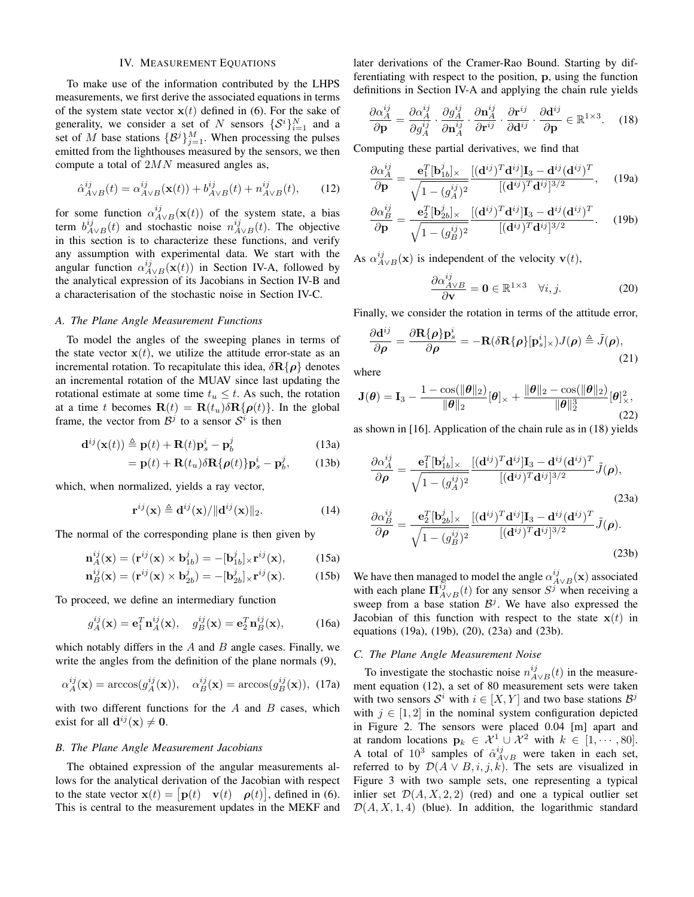#### IV. MEASUREMENT EQUATIONS

To make use of the information contributed by the LHPS measurements, we first derive the associated equations in terms of the system state vector  $x(t)$  defined in (6). For the sake of generality, we consider a set of N sensors  $\{S^i\}_{i=1}^N$  and a set of M base stations  $\{\mathcal{B}^j\}_{j=1}^M$ . When processing the pulses emitted from the lighthouses measured by the sensors, we then compute a total of  $2MN$  measured angles as,

$$
\hat{\alpha}_{A \vee B}^{ij}(t) = \alpha_{A \vee B}^{ij}(\mathbf{x}(t)) + b_{A \vee B}^{ij}(t) + n_{A \vee B}^{ij}(t), \qquad (12)
$$

for some function  $\alpha_{A\vee B}^{ij}(\mathbf{x}(t))$  of the system state, a bias term  $b_{A\vee B}^{ij}(t)$  and stochastic noise  $n_{A\vee B}^{ij}(t)$ . The objective in this section is to characterize these functions, and verify any assumption with experimental data. We start with the angular function  $\alpha_{A\vee B}^{ij}(\mathbf{x}(t))$  in Section IV-A, followed by the analytical expression of its Jacobians in Section IV-B and a characterisation of the stochastic noise in Section IV-C.

#### *A. The Plane Angle Measurement Functions*

To model the angles of the sweeping planes in terms of the state vector  $x(t)$ , we utilize the attitude error-state as an incremental rotation. To recapitulate this idea,  $\delta \mathbf{R} \{\boldsymbol{\rho}\}\$  denotes an incremental rotation of the MUAV since last updating the rotational estimate at some time  $t<sub>u</sub> < t$ . As such, the rotation at a time t becomes  $\mathbf{R}(t) = \mathbf{R}(t_u) \delta \mathbf{R} \{ \boldsymbol{\rho}(t) \}$ . In the global frame, the vector from  $\mathcal{B}^j$  to a sensor  $\mathcal{S}^i$  is then

$$
\mathbf{d}^{ij}(\mathbf{x}(t)) \triangleq \mathbf{p}(t) + \mathbf{R}(t)\mathbf{p}_s^i - \mathbf{p}_b^j
$$
 (13a)

$$
= \mathbf{p}(t) + \mathbf{R}(t_u) \delta \mathbf{R}\{\boldsymbol{\rho}(t)\} \mathbf{p}_s^i - \mathbf{p}_b^j, \qquad (13b)
$$

which, when normalized, yields a ray vector,

$$
\mathbf{r}^{ij}(\mathbf{x}) \triangleq \mathbf{d}^{ij}(\mathbf{x}) / \|\mathbf{d}^{ij}(\mathbf{x})\|_2.
$$
 (14)

The normal of the corresponding plane is then given by

$$
\mathbf{n}_A^{ij}(\mathbf{x}) = (\mathbf{r}^{ij}(\mathbf{x}) \times \mathbf{b}_{1b}^j) = -[\mathbf{b}_{1b}^j] \times \mathbf{r}^{ij}(\mathbf{x}),\tag{15a}
$$
\n
$$
\mathbf{n}^{ij}(\mathbf{x}) - (\mathbf{n}^{ij}(\mathbf{x}) \times \mathbf{b}_{1b}^j) = -[\mathbf{b}_{1b}^j] \mathbf{n}^{ij}(\mathbf{x})\tag{15b}
$$

$$
\mathbf{n}_B^{ij}(\mathbf{x}) = (\mathbf{r}^{ij}(\mathbf{x}) \times \mathbf{b}_{2b}^j) = -[\mathbf{b}_{2b}^j] \times \mathbf{r}^{ij}(\mathbf{x}).
$$
 (15b)

To proceed, we define an intermediary function

$$
g_A^{ij}(\mathbf{x}) = \mathbf{e}_1^T \mathbf{n}_A^{ij}(\mathbf{x}), \quad g_B^{ij}(\mathbf{x}) = \mathbf{e}_2^T \mathbf{n}_B^{ij}(\mathbf{x}), \quad (16a)
$$

which notably differs in the  $A$  and  $B$  angle cases. Finally, we write the angles from the definition of the plane normals (9),

$$
\alpha_A^{ij}(\mathbf{x}) = \arccos(g_A^{ij}(\mathbf{x})), \quad \alpha_B^{ij}(\mathbf{x}) = \arccos(g_B^{ij}(\mathbf{x})), \tag{17a}
$$

with two different functions for the  $A$  and  $B$  cases, which exist for all  $\mathbf{d}^{ij}(\mathbf{x}) \neq \mathbf{0}$ .

#### *B. The Plane Angle Measurement Jacobians*

The obtained expression of the angular measurements allows for the analytical derivation of the Jacobian with respect to the state vector  $\mathbf{x}(t) = [\mathbf{p}(t) \quad \mathbf{v}(t) \quad \boldsymbol{\rho}(t)]$ , defined in (6). This is central to the measurement updates in the MEKF and later derivations of the Cramer-Rao Bound. Starting by differentiating with respect to the position, p, using the function definitions in Section IV-A and applying the chain rule yields

$$
\frac{\partial \alpha_A^{ij}}{\partial \mathbf{p}} = \frac{\partial \alpha_A^{ij}}{\partial g_A^{ij}} \cdot \frac{\partial g_A^{ij}}{\partial \mathbf{n}_A^{ij}} \cdot \frac{\partial \mathbf{n}_A^{ij}}{\partial \mathbf{r}^{ij}} \cdot \frac{\partial \mathbf{r}^{ij}}{\partial \mathbf{d}^{ij}} \cdot \frac{\partial \mathbf{d}^{ij}}{\partial \mathbf{p}} \in \mathbb{R}^{1 \times 3}.\tag{18}
$$

Computing these partial derivatives, we find that

$$
\frac{\partial \alpha_A^{ij}}{\partial \mathbf{p}} = \frac{\mathbf{e}_1^T [\mathbf{b}_{1b}^j]_{\times}}{\sqrt{1 - (g_A^{ij})^2}} \frac{[(\mathbf{d}^{ij})^T \mathbf{d}^{ij}] \mathbf{I}_3 - \mathbf{d}^{ij} (\mathbf{d}^{ij})^T}{[(\mathbf{d}^{ij})^T \mathbf{d}^{ij}]^{3/2}},
$$
 (19a)

$$
\frac{\partial \alpha_B^{ij}}{\partial \mathbf{p}} = \frac{\mathbf{e}_2^T [\mathbf{b}_{2b}^j] \times}{\sqrt{1 - (g_B^{ij})^2}} \frac{[(\mathbf{d}^{ij})^T \mathbf{d}^{ij}] \mathbf{I}_3 - \mathbf{d}^{ij} (\mathbf{d}^{ij})^T}{[(\mathbf{d}^{ij})^T \mathbf{d}^{ij}]^{3/2}}.
$$
 (19b)

As  $\alpha_{A\vee B}^{ij}(\mathbf{x})$  is independent of the velocity  $\mathbf{v}(t)$ ,

$$
\frac{\partial \alpha_{A \vee B}^{ij}}{\partial \mathbf{v}} = \mathbf{0} \in \mathbb{R}^{1 \times 3} \quad \forall i, j.
$$
 (20)

Finally, we consider the rotation in terms of the attitude error,

$$
\frac{\partial \mathbf{d}^{ij}}{\partial \rho} = \frac{\partial \mathbf{R}\{\rho\} \mathbf{p}_s^i}{\partial \rho} = -\mathbf{R}(\delta \mathbf{R}\{\rho\} [\mathbf{p}_s^i]_\times) J(\rho) \triangleq \tilde{J}(\rho),\tag{21}
$$

where

$$
\mathbf{J}(\boldsymbol{\theta}) = \mathbf{I}_3 - \frac{1 - \cos(\|\boldsymbol{\theta}\|_2)}{\|\boldsymbol{\theta}\|_2} [\boldsymbol{\theta}]_{\times} + \frac{\|\boldsymbol{\theta}\|_2 - \cos(\|\boldsymbol{\theta}\|_2)}{\|\boldsymbol{\theta}\|_2^3} [\boldsymbol{\theta}]_{\times}^2,
$$
(22)

as shown in [16]. Application of the chain rule as in (18) yields

$$
\frac{\partial \alpha_A^{ij}}{\partial \rho} = \frac{\mathbf{e}_1^T [\mathbf{b}_{1b}^j] \times}{\sqrt{1 - (g_A^{ij})^2}} \frac{[(\mathbf{d}^{ij})^T \mathbf{d}^{ij}] \mathbf{I}_3 - \mathbf{d}^{ij} (\mathbf{d}^{ij})^T}{[(\mathbf{d}^{ij})^T \mathbf{d}^{ij}]^{3/2}} \tilde{J}(\rho),
$$
\n
$$
\frac{\partial \alpha_B^{ij}}{\partial \rho} = \frac{\mathbf{e}_2^T [\mathbf{b}_{2b}^j] \times}{\sqrt{1 - (\mathbf{g}_2^i)^2}} \frac{[(\mathbf{d}^{ij})^T \mathbf{d}^{ij}] \mathbf{I}_3 - \mathbf{d}^{ij} (\mathbf{d}^{ij})^T}{[(\mathbf{g}_2^i)^T \mathbf{g}_1^i \mathbf{d}^{ij}]^2} \tilde{J}(\rho).
$$
\n(23a)

$$
\frac{\partial \rho}{\partial \rho} = \frac{2 + 2\theta^{1/2}}{\sqrt{1 - (g_B^{ij})^2}} \frac{\frac{(1 - \theta)^2}{\sqrt{1 - (g_B^{ij})^2}}}{[(d^{ij})^T d^{ij}]^{3/2}} J(\rho).
$$
\n(23b)

We have then managed to model the angle  $\alpha_{A\vee B}^{ij}(\mathbf{x})$  associated with each plane  $\Pi_{A\vee B}^{ij}(t)$  for any sensor  $S^j$  when receiving a sweep from a base station  $B^j$ . We have also expressed the Jacobian of this function with respect to the state  $x(t)$  in equations (19a), (19b), (20), (23a) and (23b).

# *C. The Plane Angle Measurement Noise*

To investigate the stochastic noise  $n_{A\vee B}^{ij}(t)$  in the measurement equation (12), a set of 80 measurement sets were taken with two sensors  $S^i$  with  $i \in [X, Y]$  and two base stations  $\mathcal{B}^j$ with  $j \in [1, 2]$  in the nominal system configuration depicted in Figure 2. The sensors were placed 0.04 [m] apart and at random locations  $\mathbf{p}_k \in \mathcal{X}^1 \cup \mathcal{X}^2$  with  $k \in [1, \cdots, 80]$ . A total of  $10^3$  samples of  $\hat{\alpha}^{ij}_{A \vee B}$  were taken in each set, referred to by  $\mathcal{D}(A \vee B, i, j, k)$ . The sets are visualized in Figure 3 with two sample sets, one representing a typical inlier set  $\mathcal{D}(A, X, 2, 2)$  (red) and one a typical outlier set  $\mathcal{D}(A, X, 1, 4)$  (blue). In addition, the logarithmic standard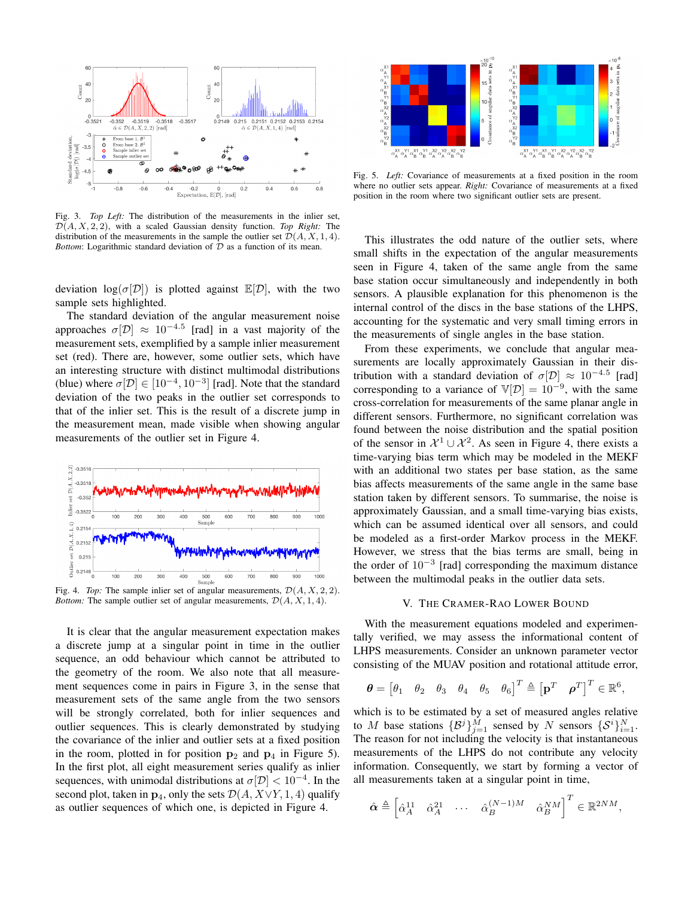

Fig. 3. *Top Left:* The distribution of the measurements in the inlier set, D(A, X, 2, 2), with a scaled Gaussian density function. *Top Right:* The distribution of the measurements in the sample the outlier set  $\mathcal{D}(A, X, 1, 4)$ . *Bottom*: Logarithmic standard deviation of  $D$  as a function of its mean.

deviation  $log(\sigma|\mathcal{D}|)$  is plotted against  $\mathbb{E}[\mathcal{D}]$ , with the two sample sets highlighted.

The standard deviation of the angular measurement noise approaches  $\sigma[\mathcal{D}] \approx 10^{-4.5}$  [rad] in a vast majority of the measurement sets, exemplified by a sample inlier measurement set (red). There are, however, some outlier sets, which have an interesting structure with distinct multimodal distributions (blue) where  $\sigma[\mathcal{D}] \in [10^{-4}, 10^{-3}]$  [rad]. Note that the standard deviation of the two peaks in the outlier set corresponds to that of the inlier set. This is the result of a discrete jump in the measurement mean, made visible when showing angular measurements of the outlier set in Figure 4.



Fig. 4. *Top:* The sample inlier set of angular measurements,  $\mathcal{D}(A, X, 2, 2)$ . *Bottom:* The sample outlier set of angular measurements,  $\mathcal{D}(A, X, 1, 4)$ .

It is clear that the angular measurement expectation makes a discrete jump at a singular point in time in the outlier sequence, an odd behaviour which cannot be attributed to the geometry of the room. We also note that all measurement sequences come in pairs in Figure 3, in the sense that measurement sets of the same angle from the two sensors will be strongly correlated, both for inlier sequences and outlier sequences. This is clearly demonstrated by studying the covariance of the inlier and outlier sets at a fixed position in the room, plotted in for position  $p_2$  and  $p_4$  in Figure 5). In the first plot, all eight measurement series qualify as inlier sequences, with unimodal distributions at  $\sigma[\mathcal{D}] < 10^{-4}$ . In the second plot, taken in  $p_4$ , only the sets  $\mathcal{D}(A, X \vee Y, 1, 4)$  qualify as outlier sequences of which one, is depicted in Figure 4.



Fig. 5. *Left:* Covariance of measurements at a fixed position in the room where no outlier sets appear. *Right:* Covariance of measurements at a fixed position in the room where two significant outlier sets are present.

This illustrates the odd nature of the outlier sets, where small shifts in the expectation of the angular measurements seen in Figure 4, taken of the same angle from the same base station occur simultaneously and independently in both sensors. A plausible explanation for this phenomenon is the internal control of the discs in the base stations of the LHPS, accounting for the systematic and very small timing errors in the measurements of single angles in the base station.

From these experiments, we conclude that angular measurements are locally approximately Gaussian in their distribution with a standard deviation of  $\sigma[\mathcal{D}] \approx 10^{-4.5}$  [rad] corresponding to a variance of  $\mathbb{V}[\mathcal{D}] = 10^{-9}$ , with the same cross-correlation for measurements of the same planar angle in different sensors. Furthermore, no significant correlation was found between the noise distribution and the spatial position of the sensor in  $\mathcal{X}^1 \cup \mathcal{X}^2$ . As seen in Figure 4, there exists a time-varying bias term which may be modeled in the MEKF with an additional two states per base station, as the same bias affects measurements of the same angle in the same base station taken by different sensors. To summarise, the noise is approximately Gaussian, and a small time-varying bias exists, which can be assumed identical over all sensors, and could be modeled as a first-order Markov process in the MEKF. However, we stress that the bias terms are small, being in the order of  $10^{-3}$  [rad] corresponding the maximum distance between the multimodal peaks in the outlier data sets.

#### V. THE CRAMER-RAO LOWER BOUND

With the measurement equations modeled and experimentally verified, we may assess the informational content of LHPS measurements. Consider an unknown parameter vector consisting of the MUAV position and rotational attitude error,

$$
\boldsymbol{\theta} = \begin{bmatrix} \theta_1 & \theta_2 & \theta_3 & \theta_4 & \theta_5 & \theta_6 \end{bmatrix}^T \triangleq \begin{bmatrix} \mathbf{p}^T & \boldsymbol{\rho}^T \end{bmatrix}^T \in \mathbb{R}^6,
$$

which is to be estimated by a set of measured angles relative to M base stations  $\{\mathcal{B}^j\}_{j=1}^M$  sensed by N sensors  $\{\mathcal{S}^i\}_{i=1}^N$ . The reason for not including the velocity is that instantaneous measurements of the LHPS do not contribute any velocity information. Consequently, we start by forming a vector of all measurements taken at a singular point in time,

$$
\hat{\boldsymbol{\alpha}} \triangleq \begin{bmatrix} \hat{\alpha}_A^{11} & \hat{\alpha}_A^{21} & \cdots & \hat{\alpha}_B^{(N-1)M} & \hat{\alpha}_B^{NM} \end{bmatrix}^T \in \mathbb{R}^{2NM},
$$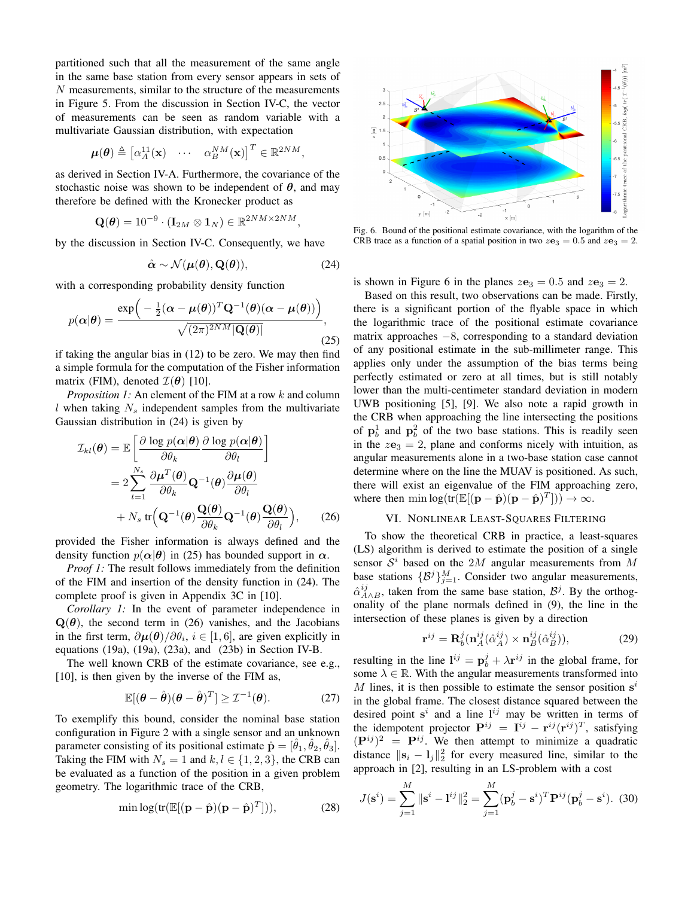partitioned such that all the measurement of the same angle in the same base station from every sensor appears in sets of N measurements, similar to the structure of the measurements in Figure 5. From the discussion in Section IV-C, the vector of measurements can be seen as random variable with a multivariate Gaussian distribution, with expectation

$$
\boldsymbol{\mu}(\boldsymbol{\theta}) \triangleq \begin{bmatrix} \alpha_A^{11}(\mathbf{x}) & \cdots & \alpha_B^{NM}(\mathbf{x}) \end{bmatrix}^T \in \mathbb{R}^{2NM},
$$

as derived in Section IV-A. Furthermore, the covariance of the stochastic noise was shown to be independent of  $\theta$ , and may therefore be defined with the Kronecker product as

$$
\mathbf{Q}(\boldsymbol{\theta}) = 10^{-9} \cdot (\mathbf{I}_{2M} \otimes \mathbf{1}_N) \in \mathbb{R}^{2NM \times 2NM},
$$

by the discussion in Section IV-C. Consequently, we have

$$
\hat{\alpha} \sim \mathcal{N}(\boldsymbol{\mu}(\boldsymbol{\theta}), \mathbf{Q}(\boldsymbol{\theta})), \tag{24}
$$

with a corresponding probability density function

$$
p(\boldsymbol{\alpha}|\boldsymbol{\theta}) = \frac{\exp\left(-\frac{1}{2}(\boldsymbol{\alpha} - \boldsymbol{\mu}(\boldsymbol{\theta}))^T \mathbf{Q}^{-1}(\boldsymbol{\theta})(\boldsymbol{\alpha} - \boldsymbol{\mu}(\boldsymbol{\theta}))\right)}{\sqrt{(2\pi)^{2NM}|\mathbf{Q}(\boldsymbol{\theta})|}},
$$
(25)

if taking the angular bias in (12) to be zero. We may then find a simple formula for the computation of the Fisher information matrix (FIM), denoted  $\mathcal{I}(\theta)$  [10].

*Proposition 1:* An element of the FIM at a row k and column l when taking  $N_s$  independent samples from the multivariate Gaussian distribution in (24) is given by

$$
\mathcal{I}_{kl}(\theta) = \mathbb{E}\left[\frac{\partial \log p(\alpha|\theta)}{\partial \theta_k} \frac{\partial \log p(\alpha|\theta)}{\partial \theta_l}\right]
$$

$$
= 2 \sum_{t=1}^{N_s} \frac{\partial \mu^T(\theta)}{\partial \theta_k} \mathbf{Q}^{-1}(\theta) \frac{\partial \mu(\theta)}{\partial \theta_l}
$$

$$
+ N_s \operatorname{tr}\left(\mathbf{Q}^{-1}(\theta) \frac{\mathbf{Q}(\theta)}{\partial \theta_k} \mathbf{Q}^{-1}(\theta) \frac{\mathbf{Q}(\theta)}{\partial \theta_l}\right), \qquad (26)
$$

provided the Fisher information is always defined and the density function  $p(\alpha|\theta)$  in (25) has bounded support in  $\alpha$ .

*Proof 1:* The result follows immediately from the definition of the FIM and insertion of the density function in (24). The complete proof is given in Appendix 3C in [10].

*Corollary 1:* In the event of parameter independence in  $Q(\theta)$ , the second term in (26) vanishes, and the Jacobians in the first term,  $\partial \mu(\theta)/\partial \theta_i$ ,  $i \in [1, 6]$ , are given explicitly in equations (19a), (19a), (23a), and (23b) in Section IV-B.

The well known CRB of the estimate covariance, see e.g., [10], is then given by the inverse of the FIM as,

$$
\mathbb{E}[(\boldsymbol{\theta} - \hat{\boldsymbol{\theta}})(\boldsymbol{\theta} - \hat{\boldsymbol{\theta}})^T] \ge \mathcal{I}^{-1}(\boldsymbol{\theta}).
$$
 (27)

To exemplify this bound, consider the nominal base station configuration in Figure 2 with a single sensor and an unknown parameter consisting of its positional estimate  $\hat{\mathbf{p}} = [\hat{\theta}_1, \hat{\theta}_2, \hat{\theta}_3].$ Taking the FIM with  $N_s = 1$  and  $k, l \in \{1, 2, 3\}$ , the CRB can be evaluated as a function of the position in a given problem geometry. The logarithmic trace of the CRB,

$$
\min \log(\text{tr}(\mathbb{E}[(\mathbf{p} - \hat{\mathbf{p}})(\mathbf{p} - \hat{\mathbf{p}})^{T}))), \tag{28}
$$



Fig. 6. Bound of the positional estimate covariance, with the logarithm of the CRB trace as a function of a spatial position in two  $ze_3 = 0.5$  and  $ze_3 = 2$ .

is shown in Figure 6 in the planes  $ze_3 = 0.5$  and  $ze_3 = 2$ .

Based on this result, two observations can be made. Firstly, there is a significant portion of the flyable space in which the logarithmic trace of the positional estimate covariance matrix approaches −8, corresponding to a standard deviation of any positional estimate in the sub-millimeter range. This applies only under the assumption of the bias terms being perfectly estimated or zero at all times, but is still notably lower than the multi-centimeter standard deviation in modern UWB positioning [5], [9]. We also note a rapid growth in the CRB when approaching the line intersecting the positions of  $\mathbf{p}_b^1$  and  $\mathbf{p}_b^2$  of the two base stations. This is readily seen in the  $ze_3 = 2$ , plane and conforms nicely with intuition, as angular measurements alone in a two-base station case cannot determine where on the line the MUAV is positioned. As such, there will exist an eigenvalue of the FIM approaching zero, where then  $\min \log(\text{tr}(\mathbb{E}[(\mathbf{p} - \hat{\mathbf{p}})(\mathbf{p} - \hat{\mathbf{p}})^T])) \rightarrow \infty$ .

# VI. NONLINEAR LEAST-SQUARES FILTERING

To show the theoretical CRB in practice, a least-squares (LS) algorithm is derived to estimate the position of a single sensor  $S^i$  based on the 2M angular measurements from M base stations  $\{\mathcal{B}^j\}_{j=1}^M$ . Consider two angular measurements,  $\hat{\alpha}_{A \wedge B}^{ij}$ , taken from the same base station,  $\mathcal{B}^{j}$ . By the orthogonality of the plane normals defined in (9), the line in the intersection of these planes is given by a direction

$$
\mathbf{r}^{ij} = \mathbf{R}_b^j(\mathbf{n}_A^{ij}(\hat{\alpha}_A^{ij}) \times \mathbf{n}_B^{ij}(\hat{\alpha}_B^{ij})),\tag{29}
$$

resulting in the line  $1^{ij} = \mathbf{p}_b^j + \lambda \mathbf{r}^{ij}$  in the global frame, for some  $\lambda \in \mathbb{R}$ . With the angular measurements transformed into M lines, it is then possible to estimate the sensor position  $s^i$ in the global frame. The closest distance squared between the desired point  $s^i$  and a line  $l^{ij}$  may be written in terms of the idempotent projector  $\mathbf{P}^{ij} = \mathbf{I}^{ij} - \mathbf{r}^{ij} (\mathbf{r}^{ij})^T$ , satisfying  $({\bf P}^{ij})^2 = {\bf P}^{ij}$ . We then attempt to minimize a quadratic distance  $\|\mathbf{s}_i - \mathbf{l}_j\|_2^2$  for every measured line, similar to the approach in [2], resulting in an LS-problem with a cost

$$
J(\mathbf{s}^{i}) = \sum_{j=1}^{M} ||\mathbf{s}^{i} - \mathbf{l}^{ij}||_{2}^{2} = \sum_{j=1}^{M} (\mathbf{p}_{b}^{j} - \mathbf{s}^{i})^{T} \mathbf{P}^{ij} (\mathbf{p}_{b}^{j} - \mathbf{s}^{i}).
$$
 (30)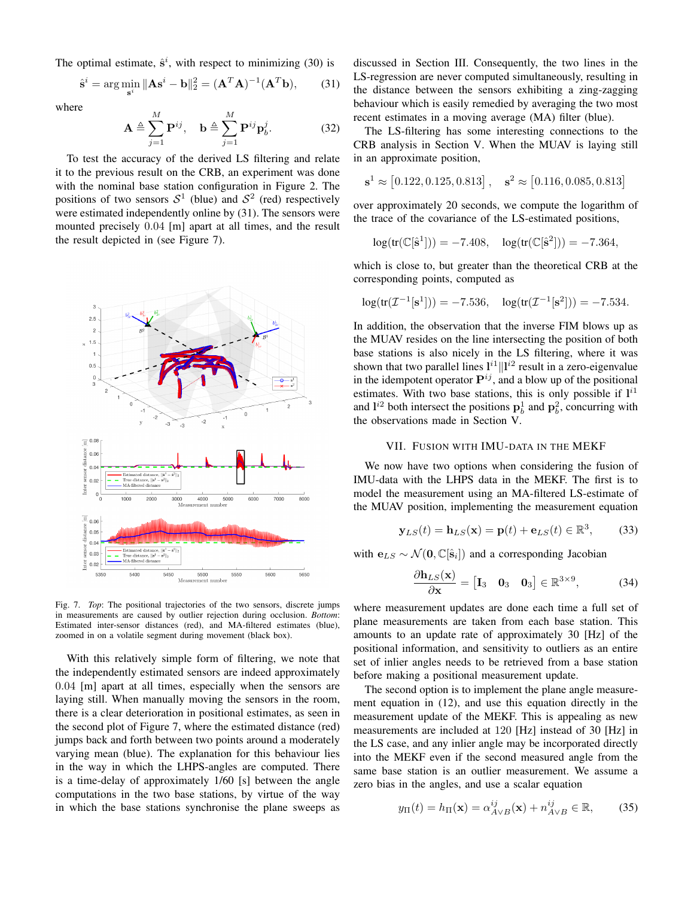The optimal estimate,  $\hat{s}^i$ , with respect to minimizing (30) is

$$
\hat{\mathbf{s}}^i = \arg\min_{\mathbf{s}^i} \|\mathbf{A}\mathbf{s}^i - \mathbf{b}\|_2^2 = (\mathbf{A}^T \mathbf{A})^{-1} (\mathbf{A}^T \mathbf{b}),\qquad(31)
$$

where

$$
\mathbf{A} \triangleq \sum_{j=1}^{M} \mathbf{P}^{ij}, \quad \mathbf{b} \triangleq \sum_{j=1}^{M} \mathbf{P}^{ij} \mathbf{p}_b^j.
$$
 (32)

To test the accuracy of the derived LS filtering and relate it to the previous result on the CRB, an experiment was done with the nominal base station configuration in Figure 2. The positions of two sensors  $S^1$  (blue) and  $S^2$  (red) respectively were estimated independently online by (31). The sensors were mounted precisely 0.04 [m] apart at all times, and the result the result depicted in (see Figure 7).



Fig. 7. *Top*: The positional trajectories of the two sensors, discrete jumps in measurements are caused by outlier rejection during occlusion. *Bottom*: Estimated inter-sensor distances (red), and MA-filtered estimates (blue), zoomed in on a volatile segment during movement (black box).

With this relatively simple form of filtering, we note that the independently estimated sensors are indeed approximately 0.04 [m] apart at all times, especially when the sensors are laying still. When manually moving the sensors in the room, there is a clear deterioration in positional estimates, as seen in the second plot of Figure 7, where the estimated distance (red) jumps back and forth between two points around a moderately varying mean (blue). The explanation for this behaviour lies in the way in which the LHPS-angles are computed. There is a time-delay of approximately 1/60 [s] between the angle computations in the two base stations, by virtue of the way in which the base stations synchronise the plane sweeps as discussed in Section III. Consequently, the two lines in the LS-regression are never computed simultaneously, resulting in the distance between the sensors exhibiting a zing-zagging behaviour which is easily remedied by averaging the two most recent estimates in a moving average (MA) filter (blue).

The LS-filtering has some interesting connections to the CRB analysis in Section V. When the MUAV is laying still in an approximate position,

$$
\mathbf{s}^1 \approx [0.122, 0.125, 0.813], \quad \mathbf{s}^2 \approx [0.116, 0.085, 0.813]
$$

over approximately 20 seconds, we compute the logarithm of the trace of the covariance of the LS-estimated positions,

$$
log(tr(\mathbb{C}[\hat{s}^1])) = -7.408
$$
,  $log(tr(\mathbb{C}[\hat{s}^2])) = -7.364$ ,

which is close to, but greater than the theoretical CRB at the corresponding points, computed as

$$
log(tr(\mathcal{I}^{-1}[s^1])) = -7.536, log(tr(\mathcal{I}^{-1}[s^2])) = -7.534.
$$

In addition, the observation that the inverse FIM blows up as the MUAV resides on the line intersecting the position of both base stations is also nicely in the LS filtering, where it was shown that two parallel lines  $\mathbf{l}^{i1} \|\mathbf{l}^{i2}$  result in a zero-eigenvalue in the idempotent operator  $\mathbf{P}^{ij}$ , and a blow up of the positional estimates. With two base stations, this is only possible if  $1^{i1}$ and  $\mathbf{l}^{i2}$  both intersect the positions  $\mathbf{p}_b^1$  and  $\mathbf{p}_b^2$ , concurring with the observations made in Section V.

#### VII. FUSION WITH IMU-DATA IN THE MEKF

We now have two options when considering the fusion of IMU-data with the LHPS data in the MEKF. The first is to model the measurement using an MA-filtered LS-estimate of the MUAV position, implementing the measurement equation

$$
\mathbf{y}_{LS}(t) = \mathbf{h}_{LS}(\mathbf{x}) = \mathbf{p}(t) + \mathbf{e}_{LS}(t) \in \mathbb{R}^3, \quad (33)
$$

with  $e_{LS} \sim \mathcal{N}(\mathbf{0}, \mathbb{C}[\hat{\mathbf{s}}_i])$  and a corresponding Jacobian

$$
\frac{\partial \mathbf{h}_{LS}(\mathbf{x})}{\partial \mathbf{x}} = \begin{bmatrix} \mathbf{I}_3 & \mathbf{0}_3 & \mathbf{0}_3 \end{bmatrix} \in \mathbb{R}^{3 \times 9},\tag{34}
$$

where measurement updates are done each time a full set of plane measurements are taken from each base station. This amounts to an update rate of approximately 30 [Hz] of the positional information, and sensitivity to outliers as an entire set of inlier angles needs to be retrieved from a base station before making a positional measurement update.

The second option is to implement the plane angle measurement equation in (12), and use this equation directly in the measurement update of the MEKF. This is appealing as new measurements are included at 120 [Hz] instead of 30 [Hz] in the LS case, and any inlier angle may be incorporated directly into the MEKF even if the second measured angle from the same base station is an outlier measurement. We assume a zero bias in the angles, and use a scalar equation

$$
y_{\Pi}(t) = h_{\Pi}(\mathbf{x}) = \alpha_{A \vee B}^{ij}(\mathbf{x}) + n_{A \vee B}^{ij} \in \mathbb{R},\qquad(35)
$$